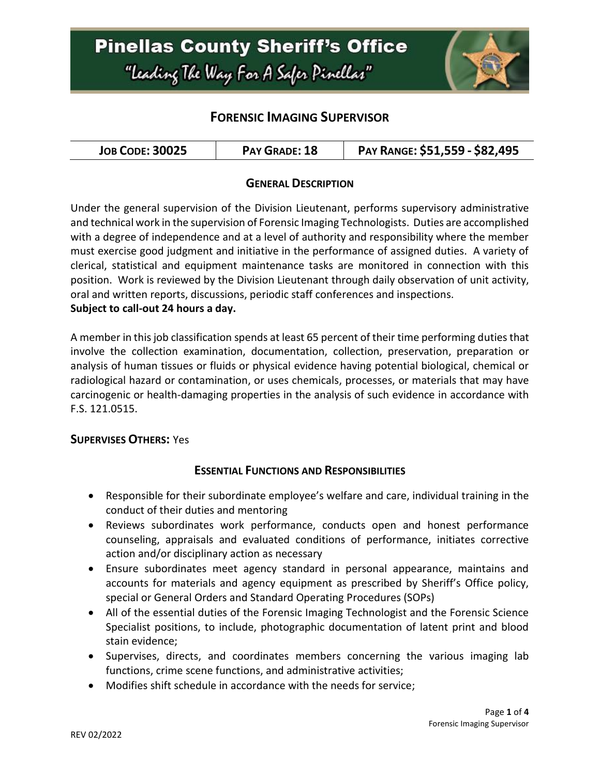# **Pinellas County Sheriff's Office** "Leading The Way For A Safer Pinellar"



## **FORENSIC IMAGING SUPERVISOR**

| <b>JOB CODE: 30025</b> | PAY GRADE: 18 | PAY RANGE: \$51,559 - \$82,495 |
|------------------------|---------------|--------------------------------|
|------------------------|---------------|--------------------------------|

### **GENERAL DESCRIPTION**

Under the general supervision of the Division Lieutenant, performs supervisory administrative and technical work in the supervision of Forensic Imaging Technologists. Duties are accomplished with a degree of independence and at a level of authority and responsibility where the member must exercise good judgment and initiative in the performance of assigned duties. A variety of clerical, statistical and equipment maintenance tasks are monitored in connection with this position. Work is reviewed by the Division Lieutenant through daily observation of unit activity, oral and written reports, discussions, periodic staff conferences and inspections. **Subject to call-out 24 hours a day.**

A member in this job classification spends at least 65 percent of their time performing duties that involve the collection examination, documentation, collection, preservation, preparation or analysis of human tissues or fluids or physical evidence having potential biological, chemical or radiological hazard or contamination, or uses chemicals, processes, or materials that may have carcinogenic or health-damaging properties in the analysis of such evidence in accordance with F.S. 121.0515.

#### **SUPERVISES OTHERS:** Yes

#### **ESSENTIAL FUNCTIONS AND RESPONSIBILITIES**

- Responsible for their subordinate employee's welfare and care, individual training in the conduct of their duties and mentoring
- Reviews subordinates work performance, conducts open and honest performance counseling, appraisals and evaluated conditions of performance, initiates corrective action and/or disciplinary action as necessary
- Ensure subordinates meet agency standard in personal appearance, maintains and accounts for materials and agency equipment as prescribed by Sheriff's Office policy, special or General Orders and Standard Operating Procedures (SOPs)
- All of the essential duties of the Forensic Imaging Technologist and the Forensic Science Specialist positions, to include, photographic documentation of latent print and blood stain evidence;
- Supervises, directs, and coordinates members concerning the various imaging lab functions, crime scene functions, and administrative activities;
- Modifies shift schedule in accordance with the needs for service;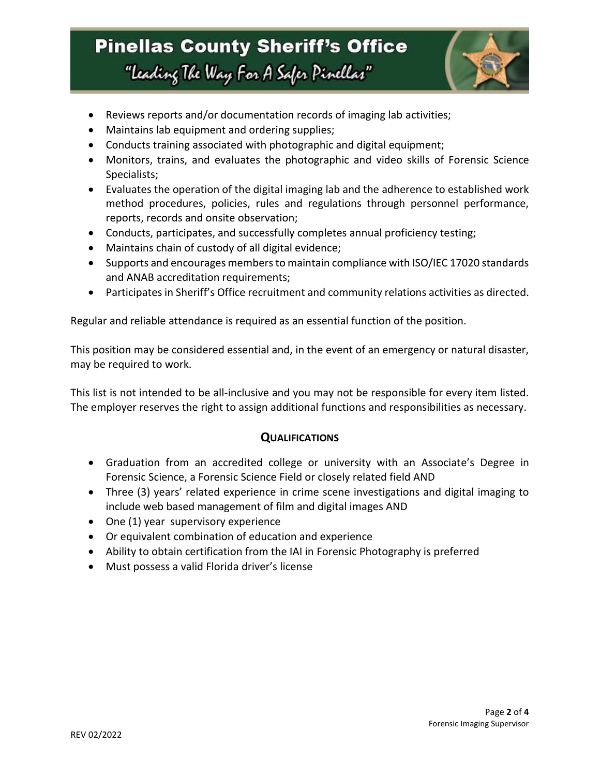# **Pinellas County Sheriff's Office** "Leading The Way For A Safer Pinellar"



- Reviews reports and/or documentation records of imaging lab activities;
- Maintains lab equipment and ordering supplies;
- Conducts training associated with photographic and digital equipment;
- Monitors, trains, and evaluates the photographic and video skills of Forensic Science Specialists;
- Evaluates the operation of the digital imaging lab and the adherence to established work method procedures, policies, rules and regulations through personnel performance, reports, records and onsite observation;
- Conducts, participates, and successfully completes annual proficiency testing;
- Maintains chain of custody of all digital evidence;
- Supports and encourages members to maintain compliance with ISO/IEC 17020 standards and ANAB accreditation requirements;
- Participates in Sheriff's Office recruitment and community relations activities as directed.

Regular and reliable attendance is required as an essential function of the position.

This position may be considered essential and, in the event of an emergency or natural disaster, may be required to work.

This list is not intended to be all-inclusive and you may not be responsible for every item listed. The employer reserves the right to assign additional functions and responsibilities as necessary.

#### **QUALIFICATIONS**

- Graduation from an accredited college or university with an Associate's Degree in Forensic Science, a Forensic Science Field or closely related field AND
- Three (3) years' related experience in crime scene investigations and digital imaging to include web based management of film and digital images AND
- One (1) year supervisory experience
- Or equivalent combination of education and experience
- Ability to obtain certification from the IAI in Forensic Photography is preferred
- Must possess a valid Florida driver's license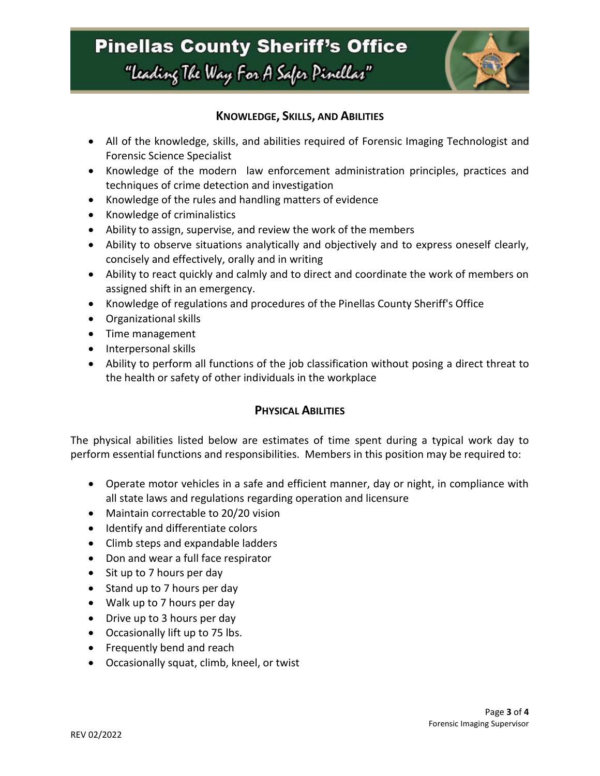# **Pinellas County Sheriff's Office** "Leading The Way For A Safer Pinellar"



### **KNOWLEDGE, SKILLS, AND ABILITIES**

- All of the knowledge, skills, and abilities required of Forensic Imaging Technologist and Forensic Science Specialist
- Knowledge of the modern law enforcement administration principles, practices and techniques of crime detection and investigation
- Knowledge of the rules and handling matters of evidence
- Knowledge of criminalistics
- Ability to assign, supervise, and review the work of the members
- Ability to observe situations analytically and objectively and to express oneself clearly, concisely and effectively, orally and in writing
- Ability to react quickly and calmly and to direct and coordinate the work of members on assigned shift in an emergency.
- Knowledge of regulations and procedures of the Pinellas County Sheriff's Office
- Organizational skills
- Time management
- Interpersonal skills
- Ability to perform all functions of the job classification without posing a direct threat to the health or safety of other individuals in the workplace

#### **PHYSICAL ABILITIES**

The physical abilities listed below are estimates of time spent during a typical work day to perform essential functions and responsibilities. Members in this position may be required to:

- Operate motor vehicles in a safe and efficient manner, day or night, in compliance with all state laws and regulations regarding operation and licensure
- Maintain correctable to 20/20 vision
- Identify and differentiate colors
- Climb steps and expandable ladders
- Don and wear a full face respirator
- Sit up to 7 hours per day
- Stand up to 7 hours per day
- Walk up to 7 hours per day
- Drive up to 3 hours per day
- Occasionally lift up to 75 lbs.
- Frequently bend and reach
- Occasionally squat, climb, kneel, or twist